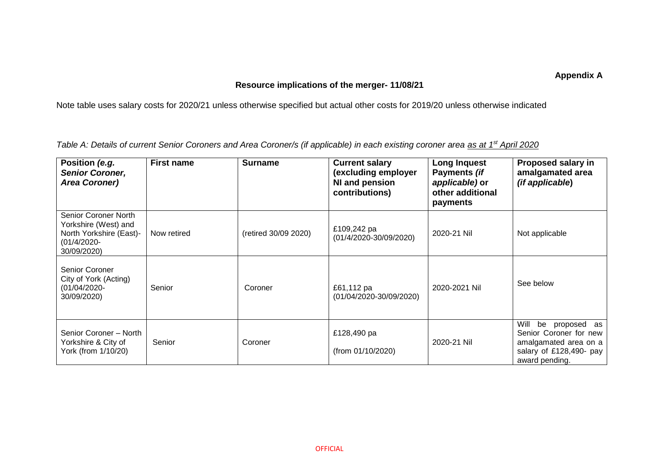## **Appendix A**

## **Resource implications of the merger- 11/08/21**

Note table uses salary costs for 2020/21 unless otherwise specified but actual other costs for 2019/20 unless otherwise indicated

*Table A: Details of current Senior Coroners and Area Coroner/s (if applicable) in each existing coroner area as at 1st April 2020*

| Position (e.g.<br><b>Senior Coroner,</b><br><b>Area Coroner)</b>                                         | <b>First name</b> | <b>Surname</b>       | <b>Current salary</b><br>(excluding employer<br>NI and pension<br>contributions) | <b>Long Inquest</b><br>Payments (if<br>applicable) or<br>other additional<br>payments | Proposed salary in<br>amalgamated area<br><i>(if applicable)</i>                                                       |
|----------------------------------------------------------------------------------------------------------|-------------------|----------------------|----------------------------------------------------------------------------------|---------------------------------------------------------------------------------------|------------------------------------------------------------------------------------------------------------------------|
| Senior Coroner North<br>Yorkshire (West) and<br>North Yorkshire (East)-<br>$(01/4/2020 -$<br>30/09/2020) | Now retired       | (retired 30/09 2020) | £109,242 pa<br>(01/4/2020-30/09/2020)                                            | 2020-21 Nil                                                                           | Not applicable                                                                                                         |
| Senior Coroner<br>City of York (Acting)<br>$(01/04/2020 -$<br>30/09/2020)                                | Senior            | Coroner              | £61,112 pa<br>(01/04/2020-30/09/2020)                                            | 2020-2021 Nil                                                                         | See below                                                                                                              |
| Senior Coroner - North<br>Yorkshire & City of<br>York (from 1/10/20)                                     | Senior            | Coroner              | £128,490 pa<br>(from 01/10/2020)                                                 | 2020-21 Nil                                                                           | Will<br>be proposed as<br>Senior Coroner for new<br>amalgamated area on a<br>salary of £128,490- pay<br>award pending. |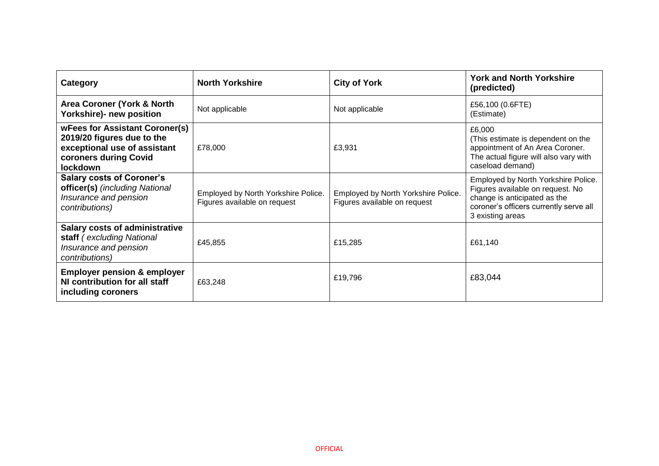| <b>Category</b>                                                                                                                          | <b>North Yorkshire</b>                                              | <b>City of York</b>                                                 | <b>York and North Yorkshire</b><br>(predicted)                                                                                                                        |
|------------------------------------------------------------------------------------------------------------------------------------------|---------------------------------------------------------------------|---------------------------------------------------------------------|-----------------------------------------------------------------------------------------------------------------------------------------------------------------------|
| Area Coroner (York & North<br>Yorkshire)- new position                                                                                   | Not applicable                                                      | Not applicable                                                      | £56,100 (0.6FTE)<br>(Estimate)                                                                                                                                        |
| <b>wFees for Assistant Coroner(s)</b><br>2019/20 figures due to the<br>exceptional use of assistant<br>coroners during Covid<br>lockdown | £78,000                                                             | £3,931                                                              | £6,000<br>(This estimate is dependent on the<br>appointment of An Area Coroner.<br>The actual figure will also vary with<br>caseload demand)                          |
| <b>Salary costs of Coroner's</b><br>officer(s) (including National<br>Insurance and pension<br>contributions)                            | Employed by North Yorkshire Police.<br>Figures available on request | Employed by North Yorkshire Police.<br>Figures available on request | Employed by North Yorkshire Police.<br>Figures available on request. No<br>change is anticipated as the<br>coroner's officers currently serve all<br>3 existing areas |
| <b>Salary costs of administrative</b><br>staff (excluding National<br>Insurance and pension<br>contributions)                            | £45,855                                                             | £15,285                                                             | £61,140                                                                                                                                                               |
| <b>Employer pension &amp; employer</b><br>NI contribution for all staff<br>including coroners                                            | £63,248                                                             | £19,796                                                             | £83,044                                                                                                                                                               |